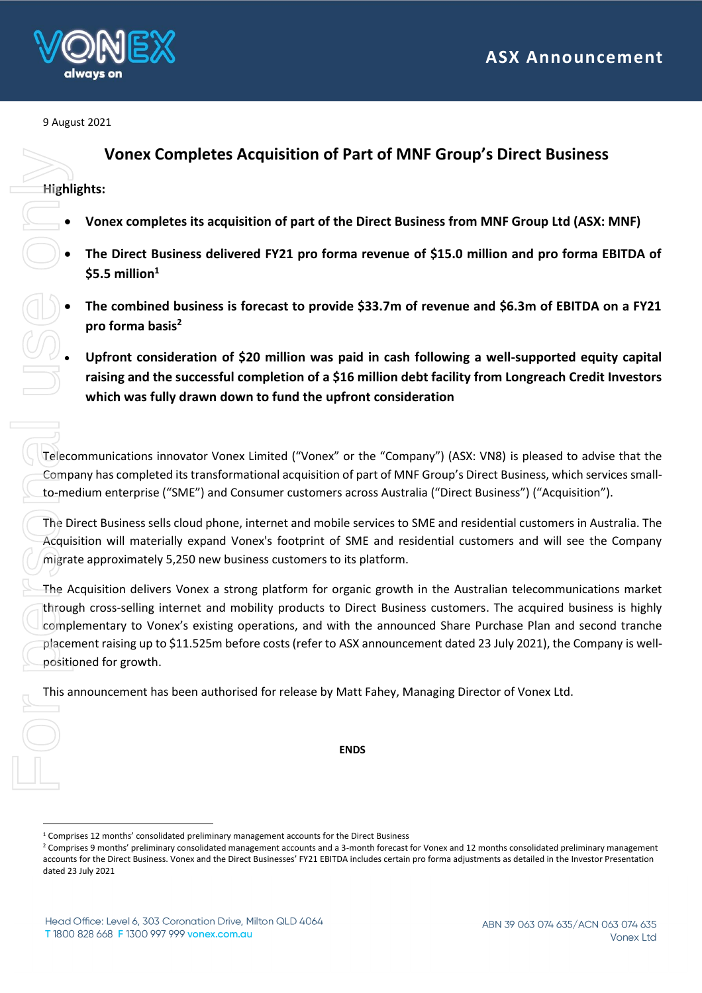

9 August 2021

# **Vonex Completes Acquisition of Part of MNF Group's Direct Business**

### **Highlights:**

 $\overline{a}$ 

- **Vonex completes its acquisition of part of the Direct Business from MNF Group Ltd (ASX: MNF)**
- **The Direct Business delivered FY21 pro forma revenue of \$15.0 million and pro forma EBITDA of \$5.5 million<sup>1</sup>**
- **The combined business is forecast to provide \$33.7m of revenue and \$6.3m of EBITDA on a FY21 pro forma basis<sup>2</sup>**
- **Upfront consideration of \$20 million was paid in cash following a well-supported equity capital raising and the successful completion of a \$16 million debt facility from Longreach Credit Investors which was fully drawn down to fund the upfront consideration**

Telecommunications innovator Vonex Limited ("Vonex" or the "Company") (ASX: VN8) is pleased to advise that the Company has completed its transformational acquisition of part of MNF Group's Direct Business, which services smallto-medium enterprise ("SME") and Consumer customers across Australia ("Direct Business") ("Acquisition").

The Direct Business sells cloud phone, internet and mobile services to SME and residential customers in Australia. The Acquisition will materially expand Vonex's footprint of SME and residential customers and will see the Company migrate approximately 5,250 new business customers to its platform.

The Acquisition delivers Vonex a strong platform for organic growth in the Australian telecommunications market through cross-selling internet and mobility products to Direct Business customers. The acquired business is highly complementary to Vonex's existing operations, and with the announced Share Purchase Plan and second tranche placement raising up to \$11.525m before costs (refer to ASX announcement dated 23 July 2021), the Company is wellpositioned for growth. **Company 1999**<br> **Company 1999**<br> **Company has domedium errors**<br> **Company has domedium errors**<br> **Company has domedium errors**<br> **Company has domedium errors**<br> **Complementa**<br> **Complementa**<br> **Complementa**<br> **Complementa**<br> **Compr** 

This announcement has been authorised for release by Matt Fahey, Managing Director of Vonex Ltd.

**ENDS**

<sup>1</sup> Comprises 12 months' consolidated preliminary management accounts for the Direct Business

<sup>&</sup>lt;sup>2</sup> Comprises 9 months' preliminary consolidated management accounts and a 3-month forecast for Vonex and 12 months consolidated preliminary management accounts for the Direct Business. Vonex and the Direct Businesses' FY21 EBITDA includes certain pro forma adjustments as detailed in the Investor Presentation dated 23 July 2021